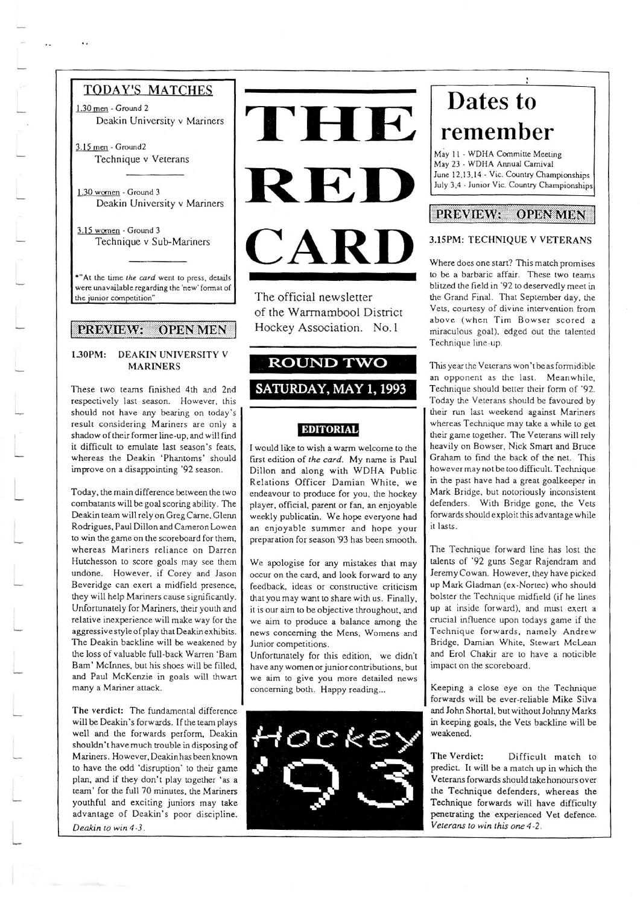## **TODAY'S MATCHES**

1.30 men - Ground 2 Deakin University v Mariners

 $3.15$  men - Ground2 Technique v Veterans

1.30 women - Ground 3 Deakin University v Mariners

3.15 women - Ground 3 Technique v Sub-Mariners

\*"At the time the card went to press, details were unavailable regarding the 'new' format of the junior competition"

#### PREVIEW: **OPEN MEN**

#### 1.30PM: DEAKIN UNIVERSITY V **MARINERS**

These two teams finished 4th and 2nd respectively last season. However, this should not have any bearing on today's result considering Mariners are only a shadow of their former line-up, and will find it difficult to emulate last season's feats, whereas the Deakin 'Phantoms' should improve on a disappointing '92 season.

Today, the main difference between the two combatants will be goal scoring ability. The Deakin team will rely on Greg Carne, Glenn Rodrigues, Paul Dillon and Cameron Lowen to win the game on the scoreboard for them, whereas Mariners reliance on Darren Hutchesson to score goals may see them undone. However, if Corey and Jason Beveridge can exert a midfield presence, they will help Mariners cause significantly. Unfortunately for Mariners, their youth and relative inexperience will make way for the aggressive style of play that Deakin exhibits. The Deakin backline will be weakened by the loss of valuable full-back Warren 'Bam Bam' McInnes, but his shoes will be filled, and Paul McKenzie in goals will thwart many a Mariner attack.

The verdict: The fundamental difference will be Deakin's forwards. If the team plays well and the forwards perform, Deakin shouldn't have much trouble in disposing of Mariners. However, Deakinhas been known to have the odd 'disruption' to their game plan, and if they don't play together 'as a team' for the full 70 minutes, the Mariners youthful and exciting juniors may take advantage of Deakin's poor discipline. Deakin to win 4-3.



The official newsletter of the Warrnambool District Hockey Association. No.1

## **ROUND TWO**

### SATURDAY, MAY 1, 1993

#### **EDITORIAL**

I would like to wish a warm welcome to the first edition of the card. My name is Paul Dillon and along with WDHA Public Relations Officer Damian White, we endeavour to produce for you, the hockey player, official, parent or fan, an enjoyable weekly publicatin. We hope everyone had an enjoyable summer and hope your preparation for season '93 has been smooth.

We apologise for any mistakes that may occur on the card, and look forward to any feedback, ideas or constructive criticism that you may want to share with us. Finally, it is our aim to be objective throughout, and we aim to produce a balance among the news concerning the Mens, Womens and Junior competitions.

Unfortunately for this edition, we didn't have any women or junior contributions, but we aim to give you more detailed news concerning both. Happy reading...



# Dates to remember

May 11 - WDHA Committe Meeting May 23 - WDHA Annual Carnival June 12,13,14 - Vic. Country Championships July 3,4 - Junior Vic. Country Championships

#### **PREVIEW: OPEN MEN**

#### 3.15PM: TECHNIQUE V VETERANS

Where does one start? This match promises to be a barbaric affair. These two teams blitzed the field in '92 to deservedly meet in the Grand Final. That September day, the Vets, courtesy of divine intervention from above (when Tim Bowser scored a miraculous goal), edged out the talented Technique line-up.

This year the Veterans won't be as formidible an opponent as the last. Meanwhile, Technique should better their form of '92. Today the Veterans should be favoured by their run last weekend against Mariners whereas Technique may take a while to get their game together. The Veterans will rely heavily on Bowser, Nick Smart and Bruce Graham to find the back of the net. This however may not be too difficult. Technique in the past have had a great goalkeeper in Mark Bridge, but notoriously inconsistent defenders. With Bridge gone, the Vets forwards should exploit this advantage while it lasts.

The Technique forward line has lost the talents of '92 guns Segar Rajendram and Jeremy Cowan. However, they have picked up Mark Gladman (ex-Nortec) who should bolster the Technique midfield (if he lines up at inside forward), and must exert a crucial influence upon todays game if the Technique forwards, namely Andrew Bridge, Damian White, Stewart McLean and Erol Chakir are to have a noticible impact on the scoreboard.

Keeping a close eye on the Technique forwards will be ever-reliable Mike Silva and John Shortal, but without Johnny Marks in keeping goals, the Vets backline will be weakened.

The Verdict: Difficult match to predict. It will be a match up in which the Veterans forwards should take honours over the Technique defenders, whereas the Technique forwards will have difficulty penetrating the experienced Vet defence. Veterans to win this one 4-2.